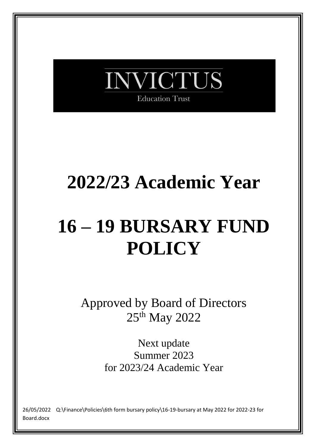

# **2022/23 Academic Year**

# **16 – 19 BURSARY FUND POLICY**

Approved by Board of Directors 25th May 2022

> Next update Summer 2023 for 2023/24 Academic Year

26/05/2022 Q:\Finance\Policies\6th form bursary policy\16-19-bursary at May 2022 for 2022-23 for Board.docx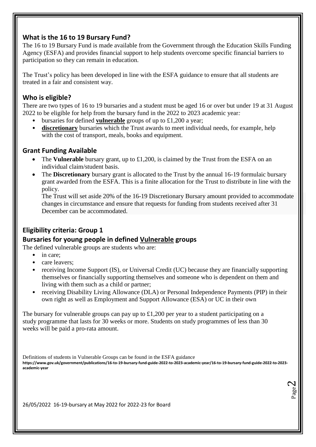# **What is the 16 to 19 Bursary Fund?**

The 16 to 19 Bursary Fund is made available from the Government through the Education Skills Funding Agency (ESFA) and provides financial support to help students overcome specific financial barriers to participation so they can remain in education.

The Trust's policy has been developed in line with the ESFA guidance to ensure that all students are treated in a fair and consistent way.

# **Who is eligible?**

There are two types of 16 to 19 bursaries and a student must be aged 16 or over but under 19 at 31 August 2022 to be eligible for help from the bursary fund in the 2022 to 2023 academic year*:*

- bursaries for defined **vulnerable** groups of up to £1,200 a year;
- **discretionary** bursaries which the Trust awards to meet individual needs, for example, help with the cost of transport, meals, books and equipment.

#### **Grant Funding Available**

- The **Vulnerable** bursary grant, up to £1,200, is claimed by the Trust from the ESFA on an individual claim/student basis.
- The **Discretionary** bursary grant is allocated to the Trust by the annual 16-19 formulaic bursary grant awarded from the ESFA. This is a finite allocation for the Trust to distribute in line with the policy.

The Trust will set aside 20% of the 16-19 Discretionary Bursary amount provided to accommodate changes in circumstance and ensure that requests for funding from students received after 31 December can be accommodated.

# **Eligibility criteria: Group 1**

# **Bursaries for young people in defined Vulnerable groups**

The defined vulnerable groups are students who are:

- in care:
- care leavers:
- receiving Income Support (IS), or Universal Credit (UC) because they are financially supporting themselves or financially supporting themselves and someone who is dependent on them and living with them such as a child or partner;
- receiving Disability Living Allowance (DLA) or Personal Independence Payments (PIP) in their own right as well as Employment and Support Allowance (ESA) or UC in their own

The bursary for vulnerable groups can pay up to  $\pounds1,200$  per year to a student participating on a study programme that lasts for 30 weeks or more. Students on study programmes of less than 30 weeks will be paid a pro-rata amount.

Definitions of students in Vulnerable Groups can be found in the ESFA guidance

**https://www.gov.uk/government/publications/16-to-19-bursary-fund-guide-2022-to-2023-academic-year/16-to-19-bursary-fund-guide-2022-to-2023 academic-year**

> Page  $\boldsymbol{\sim}$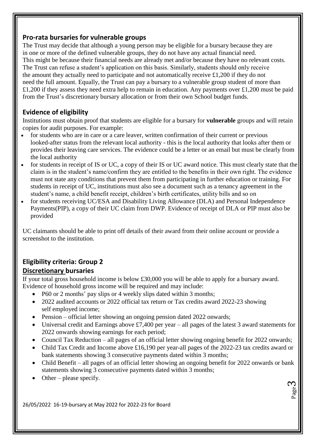#### **Pro-rata bursaries for vulnerable groups**

The Trust may decide that although a young person may be eligible for a bursary because they are in one or more of the defined vulnerable groups, they do not have any actual financial need. This might be because their financial needs are already met and/or because they have no relevant costs. The Trust can refuse a student's application on this basis. Similarly, students should only receive the amount they actually need to participate and not automatically receive £1,200 if they do not need the full amount. Equally, the Trust can pay a bursary to a vulnerable group student of more than £1,200 if they assess they need extra help to remain in education. Any payments over £1,200 must be paid from the Trust's discretionary bursary allocation or from their own School budget funds.

# **Evidence of eligibility**

Institutions must obtain proof that students are eligible for a bursary for **vulnerable** groups and will retain copies for audit purposes. For example:

- for students who are in care or a care leaver, written confirmation of their current or previous looked-after status from the relevant local authority - this is the local authority that looks after them or provides their leaving care services. The evidence could be a letter or an email but must be clearly from the local authority
- for students in receipt of IS or UC, a copy of their IS or UC award notice. This must clearly state that the claim is in the student's name/confirm they are entitled to the benefits in their own right. The evidence must not state any conditions that prevent them from participating in further education or training. For students in receipt of UC, institutions must also see a document such as a tenancy agreement in the student's name, a child benefit receipt, children's birth certificates, utility bills and so on
- for students receiving UC/ESA and Disability Living Allowance (DLA) and Personal Independence Payments(PIP), a copy of their UC claim from DWP. Evidence of receipt of DLA or PIP must also be provided

UC claimants should be able to print off details of their award from their online account or provide a screenshot to the institution.

#### **Eligibility criteria: Group 2 Discretionary bursaries**

If your total gross household income is below £30,000 you will be able to apply for a bursary award. Evidence of household gross income will be required and may include:

- P60 or 2 months' pay slips or 4 weekly slips dated within 3 months;
- 2022 audited accounts or 2022 official tax return or Tax credits award 2022-23 showing self employed income;
- Pension official letter showing an ongoing pension dated 2022 onwards;
- Universal credit and Earnings above £7,400 per year all pages of the latest 3 award statements for 2022 onwards showing earnings for each period;
- Council Tax Reduction all pages of an official letter showing ongoing benefit for 2022 onwards;
- Child Tax Credit and Income above £16,190 per year-all pages of the 2022-23 tax credits award or bank statements showing 3 consecutive payments dated within 3 months;
- Child Benefit all pages of an official letter showing an ongoing benefit for 2022 onwards or bank statements showing 3 consecutive payments dated within 3 months;

Page ო

Other – please specify.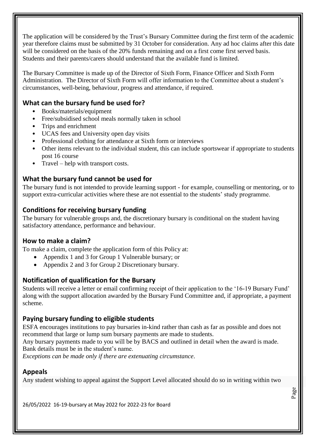The application will be considered by the Trust's Bursary Committee during the first term of the academic year therefore claims must be submitted by 31 October for consideration. Any ad hoc claims after this date will be considered on the basis of the 20% funds remaining and on a first come first served basis. Students and their parents/carers should understand that the available fund is limited.

The Bursary Committee is made up of the Director of Sixth Form, Finance Officer and Sixth Form Administration. The Director of Sixth Form will offer information to the Committee about a student's circumstances, well-being, behaviour, progress and attendance, if required.

# **What can the bursary fund be used for?**

- Books/materials/equipment
- Free/subsidised school meals normally taken in school
- Trips and enrichment
- UCAS fees and University open day visits
- Professional clothing for attendance at Sixth form or interviews
- Other items relevant to the individual student, this can include sportswear if appropriate to students post 16 course
- Travel help with transport costs.

# **What the bursary fund cannot be used for**

The bursary fund is not intended to provide learning support - for example, counselling or mentoring, or to support extra-curricular activities where these are not essential to the students' study programme.

# **Conditions for receiving bursary funding**

The bursary for vulnerable groups and, the discretionary bursary is conditional on the student having satisfactory attendance, performance and behaviour.

# **How to make a claim?**

To make a claim, complete the application form of this Policy at:

- Appendix 1 and 3 for Group 1 Vulnerable bursary; or
- Appendix 2 and 3 for Group 2 Discretionary bursary.

# **Notification of qualification for the Bursary**

Students will receive a letter or email confirming receipt of their application to the '16-19 Bursary Fund' along with the support allocation awarded by the Bursary Fund Committee and, if appropriate, a payment scheme.

# **Paying bursary funding to eligible students**

ESFA encourages institutions to pay bursaries in-kind rather than cash as far as possible and does not recommend that large or lump sum bursary payments are made to students.

Any bursary payments made to you will be by BACS and outlined in detail when the award is made. Bank details must be in the student's name.

*Exceptions can be made only if there are extenuating circumstance*.

# **Appeals**

Any student wishing to appeal against the Support Level allocated should do so in writing within two

Page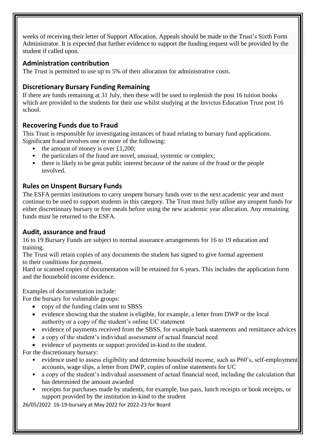weeks of receiving their letter of Support Allocation. Appeals should be made to the Trust's Sixth Form Administrator. It is expected that further evidence to support the funding request will be provided by the student if called upon.

#### **Administration contribution**

The Trust is permitted to use up to 5% of their allocation for administrative costs.

# **Discretionary Bursary Funding Remaining**

If there are funds remaining at 31 July, then these will be used to replenish the post 16 tuition books which are provided to the students for their use whilst studying at the Invictus Education Trust post 16 school.

# **Recovering Funds due to Fraud**

This Trust is responsible for investigating instances of fraud relating to bursary fund applications. Significant fraud involves one or more of the following:

- the amount of money is over £1,200;
- the particulars of the fraud are novel, unusual, systemic or complex;
- there is likely to be great public interest because of the nature of the fraud or the people involved.

#### **Rules on Unspent Bursary Funds**

The ESFA permits institutions to carry unspent bursary funds over to the next academic year and must continue to be used to support students in this category. The Trust must fully utilise any unspent funds for either discretionary bursary or free meals before using the new academic year allocation. Any remaining funds must be returned to the ESFA.

#### **Audit, assurance and fraud**

16 to 19 Bursary Funds are subject to normal assurance arrangements for 16 to 19 education and training.

The Trust will retain copies of any documents the student has signed to give formal agreement to their conditions for payment.

Hard or scanned copies of documentation will be retained for 6 years. This includes the application form and the household income evidence.

Examples of documentation include:

For the bursary for vulnerable groups:

- copy of the funding claim sent to SBSS
- evidence showing that the student is eligible, for example, a letter from DWP or the local authority or a copy of the student's online UC statement
- evidence of payments received from the SBSS, for example bank statements and remittance advices
- a copy of the student's individual assessment of actual financial need
- evidence of payments or support provided in-kind to the student.

For the discretionary bursary:

- evidence used to assess eligibility and determine household income, such as P60's, self-employment accounts, wage slips, a letter from DWP, copies of online statements for UC
- a copy of the student's individual assessment of actual financial need, including the calculation that has determined the amount awarded
- Page • receipts for purchases made by students, for example, bus pass, lunch receipts or book receipts, or support provided by the institution in-kind to the student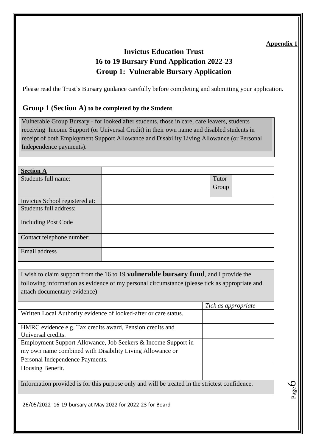Page 6

# **Invictus Education Trust 16 to 19 Bursary Fund Application 2022-23 Group 1: Vulnerable Bursary Application**

Please read the Trust's Bursary guidance carefully before completing and submitting your application.

#### **Group 1 (Section A) to be completed by the Student**

Vulnerable Group Bursary - for looked after students, those in care, care leavers, students receiving Income Support (or Universal Credit) in their own name and disabled students in receipt of both Employment Support Allowance and Disability Living Allowance (or Personal Independence payments).

| <b>Section A</b>               |       |  |
|--------------------------------|-------|--|
| Students full name:            | Tutor |  |
|                                | Group |  |
|                                |       |  |
| Invictus School registered at: |       |  |
| Students full address:         |       |  |
| <b>Including Post Code</b>     |       |  |
| Contact telephone number:      |       |  |
|                                |       |  |
| Email address                  |       |  |
|                                |       |  |

I wish to claim support from the 16 to 19 **vulnerable bursary fund**, and I provide the following information as evidence of my personal circumstance (please tick as appropriate and attach documentary evidence)

|                                                                  | Tick as appropriate |
|------------------------------------------------------------------|---------------------|
| Written Local Authority evidence of looked-after or care status. |                     |
|                                                                  |                     |
| HMRC evidence e.g. Tax credits award, Pension credits and        |                     |
| Universal credits.                                               |                     |
| Employment Support Allowance, Job Seekers & Income Support in    |                     |
| my own name combined with Disability Living Allowance or         |                     |
| Personal Independence Payments.                                  |                     |
| Housing Benefit.                                                 |                     |
|                                                                  |                     |

Information provided is for this purpose only and will be treated in the strictest confidence.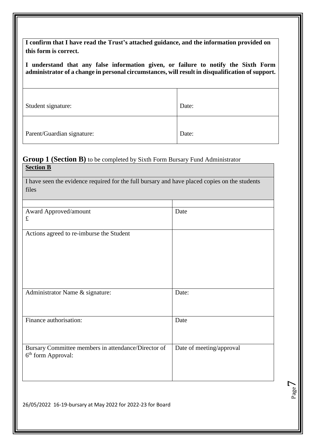**I confirm that I have read the Trust's attached guidance, and the information provided on this form is correct.**

**I understand that any false information given, or failure to notify the Sixth Form administrator of a change in personal circumstances, will result in disqualification of support.**

| Student signature:         | Date: |
|----------------------------|-------|
| Parent/Guardian signature: | Date: |

#### **Group 1 (Section B)** to be completed by Sixth Form Bursary Fund Administrator **Section B**

I have seen the evidence required for the full bursary and have placed copies on the students files

| Award Approved/amount                               | Date                     |
|-----------------------------------------------------|--------------------------|
| $\pounds$                                           |                          |
|                                                     |                          |
| Actions agreed to re-imburse the Student            |                          |
|                                                     |                          |
|                                                     |                          |
|                                                     |                          |
|                                                     |                          |
|                                                     |                          |
|                                                     |                          |
| Administrator Name & signature:                     | Date:                    |
|                                                     |                          |
|                                                     |                          |
| Finance authorisation:                              | Date                     |
|                                                     |                          |
|                                                     |                          |
|                                                     |                          |
| Bursary Committee members in attendance/Director of | Date of meeting/approval |
| 6 <sup>th</sup> form Approval:                      |                          |
|                                                     |                          |
|                                                     |                          |
|                                                     |                          |

Page  $\overline{\phantom{a}}$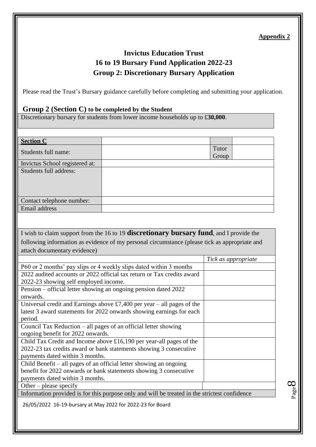Page  $\infty$ 

# **Invictus Education Trust 16 to 19 Bursary Fund Application 2022-23 Group 2: Discretionary Bursary Application**

Please read the Trust's Bursary guidance carefully before completing and submitting your application.

#### **Group 2 (Section C) to be completed by the Student**

Discretionary bursary for students from lower income households up to £**30,000**.

| <b>Section C</b>                                                |                                                                                               |                     |  |
|-----------------------------------------------------------------|-----------------------------------------------------------------------------------------------|---------------------|--|
| Students full name:                                             |                                                                                               | Tutor               |  |
| Invictus School registered at:                                  |                                                                                               | Group               |  |
| Students full address:                                          |                                                                                               |                     |  |
|                                                                 |                                                                                               |                     |  |
|                                                                 |                                                                                               |                     |  |
|                                                                 |                                                                                               |                     |  |
| Contact telephone number:<br>Email address                      |                                                                                               |                     |  |
|                                                                 |                                                                                               |                     |  |
|                                                                 |                                                                                               |                     |  |
|                                                                 | I wish to claim support from the 16 to 19 discretionary bursary fund, and I provide the       |                     |  |
|                                                                 | following information as evidence of my personal circumstance (please tick as appropriate and |                     |  |
| attach documentary evidence)                                    |                                                                                               |                     |  |
|                                                                 |                                                                                               | Tick as appropriate |  |
|                                                                 | P60 or 2 months' pay slips or 4 weekly slips dated within 3 months                            |                     |  |
|                                                                 | 2022 audited accounts or 2022 official tax return or Tax credits award                        |                     |  |
| 2022-23 showing self employed income.                           |                                                                                               |                     |  |
| onwards.                                                        | Pension – official letter showing an ongoing pension dated 2022                               |                     |  |
|                                                                 | Universal credit and Earnings above £7,400 per year – all pages of the                        |                     |  |
|                                                                 | latest 3 award statements for 2022 onwards showing earnings for each                          |                     |  |
| period.                                                         |                                                                                               |                     |  |
| Council Tax Reduction – all pages of an official letter showing |                                                                                               |                     |  |
| ongoing benefit for 2022 onwards.                               |                                                                                               |                     |  |
|                                                                 | Child Tax Credit and Income above £16,190 per year-all pages of the                           |                     |  |
| payments dated within 3 months.                                 | 2022-23 tax credits award or bank statements showing 3 consecutive                            |                     |  |
|                                                                 | Child Benefit - all pages of an official letter showing an ongoing                            |                     |  |
|                                                                 | benefit for 2022 onwards or bank statements showing 3 consecutive                             |                     |  |
| payments dated within 3 months.                                 |                                                                                               |                     |  |
| Other – please specify                                          |                                                                                               |                     |  |
|                                                                 | Information provided is for this purpose only and will be treated in the strictest confidence |                     |  |
| 26/05/2022 16-19-bursary at May 2022 for 2022-23 for Board      |                                                                                               |                     |  |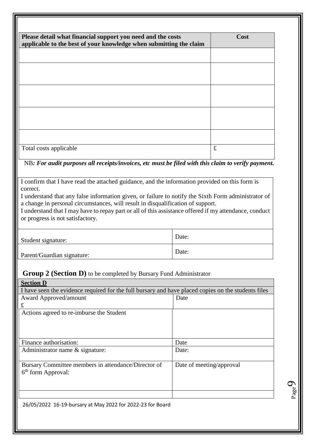| Please detail what financial support you need and the costs<br>applicable to the best of your knowledge when submitting the claim | Cost        |
|-----------------------------------------------------------------------------------------------------------------------------------|-------------|
|                                                                                                                                   |             |
|                                                                                                                                   |             |
|                                                                                                                                   |             |
|                                                                                                                                   |             |
|                                                                                                                                   |             |
|                                                                                                                                   |             |
|                                                                                                                                   |             |
|                                                                                                                                   |             |
| Total costs applicable                                                                                                            | $\mathbf f$ |

I confirm that I have read the attached guidance, and the information provided on this form is correct.

I understand that any false information given, or failure to notify the Sixth Form administrator of a change in personal circumstances, will result in disqualification of support.

I understand that I may have to repay part or all of this assistance offered if my attendance, conduct or progress is not satisfactory.

| Student signature:         | Date: |
|----------------------------|-------|
| Parent/Guardian signature: | Date: |

#### **Group 2 (Section D)** to be completed by Bursary Fund Administrator

| <b>Section D</b>                                                                                    |                          |  |
|-----------------------------------------------------------------------------------------------------|--------------------------|--|
| I have seen the evidence required for the full bursary and have placed copies on the students files |                          |  |
| Award Approved/amount                                                                               | Date                     |  |
| £                                                                                                   |                          |  |
| Actions agreed to re-imburse the Student                                                            |                          |  |
|                                                                                                     |                          |  |
|                                                                                                     |                          |  |
|                                                                                                     |                          |  |
| Finance authorisation:                                                                              | Date                     |  |
| Administrator name & signature:                                                                     | Date:                    |  |
|                                                                                                     |                          |  |
| Bursary Committee members in attendance/Director of                                                 | Date of meeting/approval |  |
| $6th$ form Approval:                                                                                |                          |  |
|                                                                                                     |                          |  |
|                                                                                                     |                          |  |
|                                                                                                     |                          |  |
| 26/05/2022 16-19-bursary at May 2022 for 2022-23 for Board                                          |                          |  |

Page  $\sigma$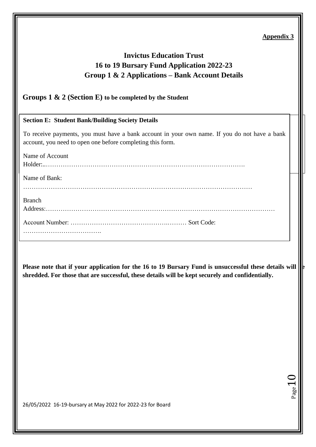**H**age

# **Invictus Education Trust 16 to 19 Bursary Fund Application 2022-23 Group 1 & 2 Applications – Bank Account Details**

#### **Groups 1 & 2 (Section E) to be completed by the Student**

#### **Section E: Student Bank/Building Society Details**

To receive payments, you must have a bank account in your own name. If you do not have a bank My household is in receipt of other means tested benefits account, you need to open one before completing this form.

| Name of Account |  |
|-----------------|--|
|                 |  |
| Name of Bank:   |  |
| <b>Branch</b>   |  |
|                 |  |
|                 |  |

Please note that if your application for the 16 to 19 Bursary Fund is unsuccessful these details will **shredded. For those that are successful, these details will be kept securely and confidentially.**